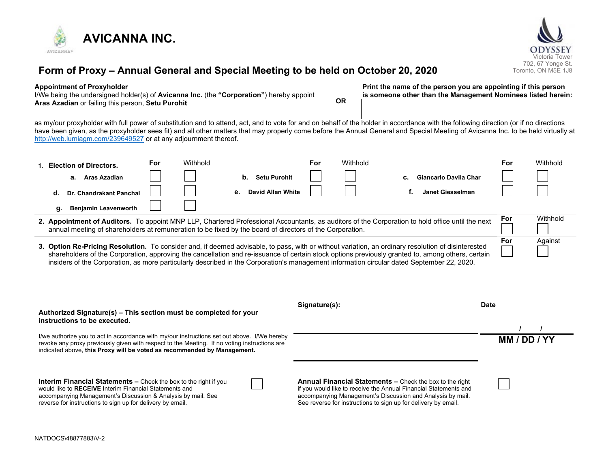



# **Form of Proxy – Annual General and Special Meeting to be held on October 20, 2020**

#### **Appointment of Proxyholder**

I/We being the undersigned holder(s) of **Avicanna Inc.** (the **"Corporation"**) hereby appoint **Aras Azadian** or failing this person, **Setu Purohit OR** **Print the name of the person you are appointing if this person is someone other than the Management Nominees listed herein:**

as my/our proxyholder with full power of substitution and to attend, act, and to vote for and on behalf of the holder in accordance with the following direction (or if no directions have been given, as the proxyholder sees fit) and all other matters that may properly come before the Annual General and Special Meeting of Avicanna Inc. to be held virtually at <http://web.lumiagm.com/239649527> or at any adjournment thereof.

|                                                                                                                                                                                                                                                              | 1. Election of Directors.                                                                                                                                                                                                                                                                                                                                                                                                                             | For | Withhold |                         | For | Withhold |                             | For      | Withhold |
|--------------------------------------------------------------------------------------------------------------------------------------------------------------------------------------------------------------------------------------------------------------|-------------------------------------------------------------------------------------------------------------------------------------------------------------------------------------------------------------------------------------------------------------------------------------------------------------------------------------------------------------------------------------------------------------------------------------------------------|-----|----------|-------------------------|-----|----------|-----------------------------|----------|----------|
|                                                                                                                                                                                                                                                              | a. Aras Azadian                                                                                                                                                                                                                                                                                                                                                                                                                                       |     |          | Setu Purohit<br>b.      |     |          | Giancarlo Davila Char<br>C. |          |          |
|                                                                                                                                                                                                                                                              | Dr. Chandrakant Panchal<br>d.                                                                                                                                                                                                                                                                                                                                                                                                                         |     |          | David Allan White<br>е. |     |          | Janet Giesselman            |          |          |
|                                                                                                                                                                                                                                                              | <b>Benjamin Leavenworth</b><br>g.                                                                                                                                                                                                                                                                                                                                                                                                                     |     |          |                         |     |          |                             |          |          |
| 2. Appointment of Auditors. To appoint MNP LLP, Chartered Professional Accountants, as auditors of the Corporation to hold office until the next<br>annual meeting of shareholders at remuneration to be fixed by the board of directors of the Corporation. |                                                                                                                                                                                                                                                                                                                                                                                                                                                       |     |          |                         |     |          | For                         | Withhold |          |
|                                                                                                                                                                                                                                                              | 3. Option Re-Pricing Resolution. To consider and, if deemed advisable, to pass, with or without variation, an ordinary resolution of disinterested<br>shareholders of the Corporation, approving the cancellation and re-issuance of certain stock options previously granted to, among others, certain<br>insiders of the Corporation, as more particularly described in the Corporation's management information circular dated September 22, 2020. |     |          |                         |     | For      | Against                     |          |          |

| Authorized Signature(s) - This section must be completed for your<br>instructions to be executed.                                                                                                                                                                      | Signature(s):                                                                                                                                                                                                                                                       | <b>Date</b>  |  |
|------------------------------------------------------------------------------------------------------------------------------------------------------------------------------------------------------------------------------------------------------------------------|---------------------------------------------------------------------------------------------------------------------------------------------------------------------------------------------------------------------------------------------------------------------|--------------|--|
| I/we authorize you to act in accordance with my/our instructions set out above. I/We hereby<br>revoke any proxy previously given with respect to the Meeting. If no voting instructions are<br>indicated above, this Proxy will be voted as recommended by Management. |                                                                                                                                                                                                                                                                     | MM / DD / YY |  |
| <b>Interim Financial Statements –</b> Check the box to the right if you<br>would like to RECEIVE Interim Financial Statements and<br>accompanying Management's Discussion & Analysis by mail. See<br>reverse for instructions to sign up for delivery by email.        | <b>Annual Financial Statements –</b> Check the box to the right<br>if you would like to receive the Annual Financial Statements and<br>accompanying Management's Discussion and Analysis by mail.<br>See reverse for instructions to sign up for delivery by email. |              |  |